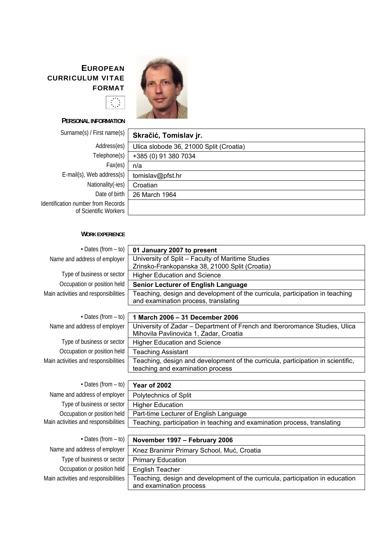# **E UROPEAN CURRICULUM VITAE FORMAT**



## **PERSONAL INFORMATION**

 $\overline{\left\langle \begin{array}{c} \mathbf{y}^{\star} \mathbf{y} \\ \mathbf{y}^{\star} \end{array} \right\rangle}$ 

Surname(s) / First name(s) **F** 

| Address(es)                                                 | Ulica slobode 36, |
|-------------------------------------------------------------|-------------------|
| Telephone(s)                                                | +385 (0) 91 380 7 |
| Fax(es)                                                     | n/a               |
| E-mail(s), Web address(s)                                   | tomislav@pfst.hr  |
| Nationality(-ies)                                           | Croatian          |
| Date of birth                                               | 26 March 1964     |
| Identification number from Records<br>of Scientific Workers |                   |

| Skračić, Tomislav jr.                   |
|-----------------------------------------|
| Ulica slobode 36, 21000 Split (Croatia) |
| +385 (0) 91 380 7034                    |
| n/a                                     |
| tomislav@pfst.hr                        |
| Croatian                                |
| Date of birth<br>26 March 1964          |
| from Records                            |
|                                         |

#### **WORK EXPERIENCE**

| $\cdot$ Dates (from $-$ to)          | 01 January 2007 to present                                                      |
|--------------------------------------|---------------------------------------------------------------------------------|
| Name and address of employer         | University of Split - Faculty of Maritime Studies                               |
|                                      | Zrinsko-Frankopanska 38, 21000 Split (Croatia)                                  |
| Type of business or sector           | <b>Higher Education and Science</b>                                             |
| Occupation or position held          | Senior Lecturer of English Language                                             |
| Main activities and responsibilities | Teaching, design and development of the curricula, participation in teaching    |
|                                      | and examination process, translating                                            |
| $\cdot$ Dates (from $-$ to)          | 1 March 2006 - 31 December 2006                                                 |
| Name and address of employer         | University of Zadar - Department of French and Iberoromance Studies, Ulica      |
|                                      | Mihovila Pavlinovića 1, Zadar, Croatia                                          |
| Type of business or sector           | <b>Higher Education and Science</b>                                             |
| Occupation or position held          | <b>Teaching Assistant</b>                                                       |
| Main activities and responsibilities | Teaching, design and development of the curricula, participation in scientific, |
|                                      | teaching and examination process                                                |
|                                      |                                                                                 |
| $\cdot$ Dates (from $-$ to)          | <b>Year of 2002</b>                                                             |
| Name and address of employer         | Polytechnics of Split                                                           |
| Type of business or sector           | <b>Higher Education</b>                                                         |
| Occupation or position held          | Part-time Lecturer of English Language                                          |
| Main activities and responsibilities | Teaching, participation in teaching and examination process, translating        |
|                                      |                                                                                 |
| $\cdot$ Dates (from $-$ to)          | November 1997 - February 2006                                                   |
| Name and address of employer         | Knez Branimir Primary School, Muć, Croatia                                      |
| Type of business or sector           | <b>Primary Education</b>                                                        |
| Occupation or position held          | English Teacher                                                                 |
| Main activities and responsibilities | Teaching, design and development of the curricula, participation in education   |
|                                      | and examination process                                                         |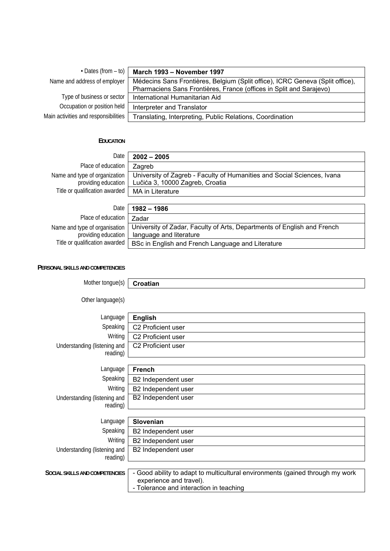| $\cdot$ Dates (from – to)            | March 1993 - November 1997                                                    |
|--------------------------------------|-------------------------------------------------------------------------------|
| Name and address of employer         | Médecins Sans Frontières, Belgium (Split office), ICRC Geneva (Split office), |
|                                      | Pharmaciens Sans Frontières, France (offices in Split and Sarajevo)           |
| Type of business or sector           | International Humanitarian Aid                                                |
| Occupation or position held          | Interpreter and Translator                                                    |
| Main activities and responsibilities | Translating, Interpreting, Public Relations, Coordination                     |

#### **EDUCATION**

| Date                                                 | $2002 - 2005$                                                                                              |
|------------------------------------------------------|------------------------------------------------------------------------------------------------------------|
| Place of education                                   | Zagreb                                                                                                     |
| Name and type of organization<br>providing education | University of Zagreb - Faculty of Humanities and Social Sciences, Ivana<br>Lučića 3, 10000 Zagreb, Croatia |
| Title or qualification awarded                       | MA in Literature                                                                                           |
|                                                      |                                                                                                            |
| Date                                                 | $1982 - 1986$                                                                                              |
| Place of education                                   | Zadar                                                                                                      |
| Name and type of organisation<br>providing education | University of Zadar, Faculty of Arts, Departments of English and French<br>language and literature         |

Title or qualification awarded  $|$  BSc in English and French Language and Literature

### **PERSONAL SKILLS AND COMPETENCIES**

| Mother tongue(s)                         | Croatian                                                                                                                                            |
|------------------------------------------|-----------------------------------------------------------------------------------------------------------------------------------------------------|
| Other language(s)                        |                                                                                                                                                     |
| Language                                 | <b>English</b>                                                                                                                                      |
| Speaking                                 | C2 Proficient user                                                                                                                                  |
| Writing                                  | C2 Proficient user                                                                                                                                  |
| Understanding (listening and<br>reading) | C2 Proficient user                                                                                                                                  |
| Language                                 | <b>French</b>                                                                                                                                       |
| Speaking                                 | B2 Independent user                                                                                                                                 |
| Writing                                  | B2 Independent user                                                                                                                                 |
| Understanding (listening and<br>reading) | B2 Independent user                                                                                                                                 |
| Language                                 | <b>Slovenian</b>                                                                                                                                    |
| Speaking                                 | B2 Independent user                                                                                                                                 |
| Writing                                  | B2 Independent user                                                                                                                                 |
| Understanding (listening and<br>reading) | B2 Independent user                                                                                                                                 |
| SOCIAL SKILLS AND COMPETENCIES           | - Good ability to adapt to multicultural environments (gained through my work<br>experience and travel).<br>- Tolerance and interaction in teaching |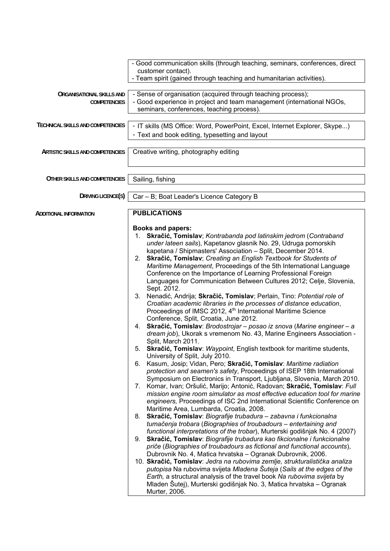|                                                         | - Good communication skills (through teaching, seminars, conferences, direct<br>customer contact).                                                    |
|---------------------------------------------------------|-------------------------------------------------------------------------------------------------------------------------------------------------------|
|                                                         | - Team spirit (gained through teaching and humanitarian activities).                                                                                  |
|                                                         |                                                                                                                                                       |
| <b>ORGANISATIONAL SKILLS AND</b><br><b>COMPETENCIES</b> | - Sense of organisation (acquired through teaching process);<br>- Good experience in project and team management (international NGOs,                 |
|                                                         | seminars, conferences, teaching process).                                                                                                             |
|                                                         |                                                                                                                                                       |
| TECHNICAL SKILLS AND COMPETENCIES                       | - IT skills (MS Office: Word, PowerPoint, Excel, Internet Explorer, Skype)                                                                            |
|                                                         | - Text and book editing, typesetting and layout                                                                                                       |
| <b>ARTISTIC SKILLS AND COMPETENCIES</b>                 | Creative writing, photography editing                                                                                                                 |
|                                                         |                                                                                                                                                       |
|                                                         |                                                                                                                                                       |
| OTHER SKILLS AND COMPETENCIES                           | Sailing, fishing                                                                                                                                      |
| DRIVING LICENCE(S)                                      |                                                                                                                                                       |
|                                                         | Car - B; Boat Leader's Licence Category B                                                                                                             |
| <b>ADDITIONAL INFORMATION</b>                           | <b>PUBLICATIONS</b>                                                                                                                                   |
|                                                         |                                                                                                                                                       |
|                                                         | <b>Books and papers:</b><br>1. Skračić, Tomislav; Kontrabanda pod latinskim jedrom (Contraband                                                        |
|                                                         | under lateen sails), Kapetanov glasnik No. 29, Udruga pomorskih                                                                                       |
|                                                         | kapetana / Shipmasters' Association - Split, December 2014.                                                                                           |
|                                                         | 2. Skračić, Tomislav; Creating an English Textbook for Students of                                                                                    |
|                                                         | Maritime Management, Proceedings of the 5th International Language                                                                                    |
|                                                         | Conference on the Importance of Learning Professional Foreign                                                                                         |
|                                                         | Languages for Communication Between Cultures 2012; Celje, Slovenia,<br>Sept. 2012.                                                                    |
|                                                         | 3. Nenadić, Andrija; Skračić, Tomislav; Perlain, Tino: Potential role of                                                                              |
|                                                         | Croatian academic libraries in the processes of distance education,                                                                                   |
|                                                         | Proceedings of IMSC 2012, 4 <sup>th</sup> International Maritime Science                                                                              |
|                                                         | Conference, Split, Croatia, June 2012.                                                                                                                |
|                                                         | 4. Skračić, Tomislav: Brodostrojar - posao iz snova (Marine engineer - a                                                                              |
|                                                         | dream job), Ukorak s vremenom No. 43, Marine Engineers Association -<br>Split, March 2011.                                                            |
|                                                         | 5. Skračić, Tomislav: Waypoint, English textbook for maritime students,                                                                               |
|                                                         | University of Split, July 2010.                                                                                                                       |
|                                                         | 6. Kasum, Josip; Vidan, Pero; Skračić, Tomislav: Maritime radiation                                                                                   |
|                                                         | protection and seamen's safety, Proceedings of ISEP 18th International                                                                                |
|                                                         | Symposium on Electronics in Transport, Ljubljana, Slovenia, March 2010.                                                                               |
|                                                         | 7. Komar, Ivan; Oršulić, Marijo; Antonić, Radovan; Skračić, Tomislav: Full                                                                            |
|                                                         | mission engine room simulator as most effective education tool for marine<br>engineers, Proceedings of ISC 2nd International Scientific Conference on |
|                                                         | Maritime Area, Lumbarda, Croatia, 2008.                                                                                                               |
|                                                         | 8. Skračić, Tomislav: Biografije trubadura - zabavna i funkcionalna                                                                                   |
|                                                         | tumačenja trobara (Biographies of troubadours - entertaining and                                                                                      |
|                                                         | functional interpretations of the trobar), Murterski godišnjak No. 4 (2007)                                                                           |
|                                                         | 9. Skračić, Tomislav: Biografije trubadura kao fikcionalne i funkcionalne                                                                             |
|                                                         | priče (Biographies of troubadours as fictional and functional accounts),                                                                              |
|                                                         | Dubrovnik No. 4, Matica hrvatska - Ogranak Dubrovnik, 2006.                                                                                           |
|                                                         | 10. Skračić, Tomislav: Jedra na rubovima zemlje, strukturalistička analiza<br>putopisa Na rubovima svijeta Mladena Šuteja (Sails at the edges of the  |
|                                                         | Earth, a structural analysis of the travel book Na rubovima svijeta by                                                                                |
|                                                         | Mladen Šutej), Murterski godišnjak No. 3, Matica hrvatska – Ogranak                                                                                   |
|                                                         | Murter, 2006.                                                                                                                                         |